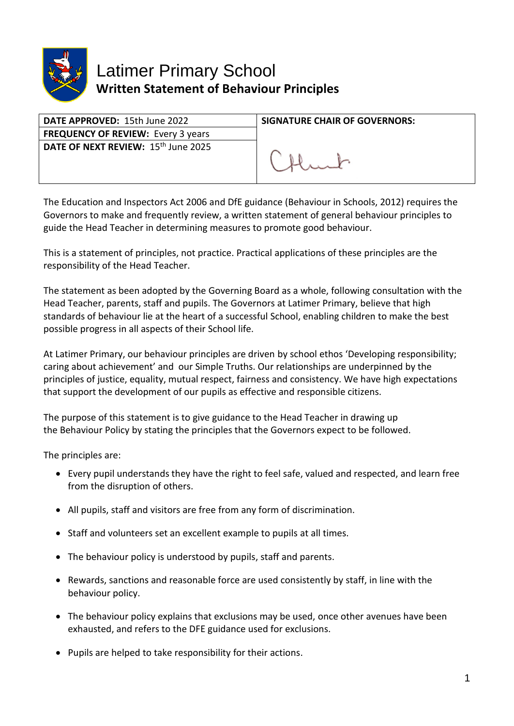

## Latimer Primary School **Written Statement of Behaviour Principles**

| DATE APPROVED: 15th June 2022                   | <b>SIGNATURE CHAIR OF GOVERNORS:</b> |
|-------------------------------------------------|--------------------------------------|
| <b>FREQUENCY OF REVIEW: Every 3 years</b>       |                                      |
| DATE OF NEXT REVIEW: 15 <sup>th</sup> June 2025 |                                      |

The Education and Inspectors Act 2006 and DfE guidance (Behaviour in Schools, 2012) requires the Governors to make and frequently review, a written statement of general behaviour principles to guide the Head Teacher in determining measures to promote good behaviour.

This is a statement of principles, not practice. Practical applications of these principles are the responsibility of the Head Teacher.

The statement as been adopted by the Governing Board as a whole, following consultation with the Head Teacher, parents, staff and pupils. The Governors at Latimer Primary, believe that high standards of behaviour lie at the heart of a successful School, enabling children to make the best possible progress in all aspects of their School life.

At Latimer Primary, our behaviour principles are driven by school ethos 'Developing responsibility; caring about achievement' and our Simple Truths. Our relationships are underpinned by the principles of justice, equality, mutual respect, fairness and consistency. We have high expectations that support the development of our pupils as effective and responsible citizens.

The purpose of this statement is to give guidance to the Head Teacher in drawing up the Behaviour Policy by stating the principles that the Governors expect to be followed.

The principles are:

- Every pupil understands they have the right to feel safe, valued and respected, and learn free from the disruption of others.
- All pupils, staff and visitors are free from any form of discrimination.
- Staff and volunteers set an excellent example to pupils at all times.
- The behaviour policy is understood by pupils, staff and parents.
- Rewards, sanctions and reasonable force are used consistently by staff, in line with the behaviour policy.
- The behaviour policy explains that exclusions may be used, once other avenues have been exhausted, and refers to the DFE guidance used for exclusions.
- Pupils are helped to take responsibility for their actions.